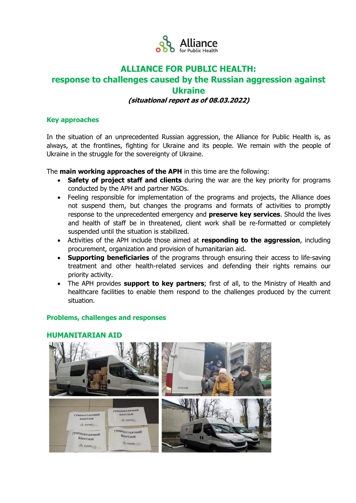

# **ALLIANCE FOR PUBLIC HEALTH:**

## **response to challenges caused by the Russian aggression against Ukraine**

## **(situational report as of 08.03.2022)**

### **Key approaches**

In the situation of an unprecedented Russian aggression, the Alliance for Public Health is, as always, at the frontlines, fighting for Ukraine and its people. We remain with the people of Ukraine in the struggle for the sovereignty of Ukraine.

The **main working approaches of the APH** in this time are the following:

- **Safety of project staff and clients** during the war are the key priority for programs conducted by the APH and partner NGOs.
- Feeling responsible for implementation of the programs and projects, the Alliance does not suspend them, but changes the programs and formats of activities to promptly response to the unprecedented emergency and **preserve key services**. Should the lives and health of staff be in threatened, client work shall be re-formatted or completely suspended until the situation is stabilized.
- Activities of the APH include those aimed at **responding to the aggression**, including procurement, organization and provision of humanitarian aid.
- **Supporting beneficiaries** of the programs through ensuring their access to life-saving treatment and other health-related services and defending their rights remains our priority activity.
- The APH provides **support to key partners**; first of all, to the Ministry of Health and healthcare facilities to enable them respond to the challenges produced by the current situation.

## **Problems, challenges and responses**

## **HUMANITARIAN AID**

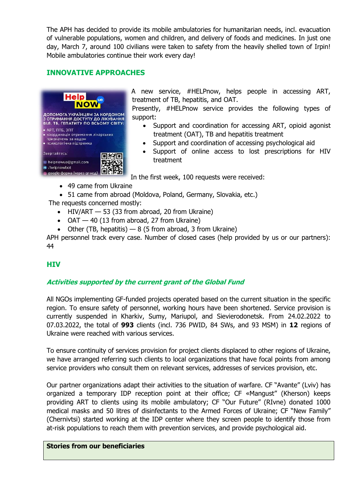The APH has decided to provide its mobile ambulatories for humanitarian needs, incl. evacuation of vulnerable populations, women and children, and delivery of foods and medicines. In just one day, March 7, around 100 civilians were taken to safety from the heavily shelled town of Irpin! Mobile ambulatories continue their work every day!

## **INNOVATIVE APPROACHES**



A new service, #HELPnow, helps people in accessing ART, treatment of TB, hepatitis, and OAT.

Presently, #HELPnow service provides the following types of support:

- Support and coordination for accessing ART, opioid agonist treatment (OAT), TB and hepatitis treatment
- Support and coordination of accessing psychological aid
- Support of online access to lost prescriptions for HIV treatment

In the first week, 100 requests were received:

- 49 came from Ukraine
- 51 came from abroad (Moldova, Poland, Germany, Slovakia, etc.)

The requests concerned mostly:

- $\bullet$  HIV/ART  $-53$  (33 from abroad, 20 from Ukraine)
- $\bullet$  OAT  $-$  40 (13 from abroad, 27 from Ukraine)
- Other (TB, hepatitis)  $-8$  (5 from abroad, 3 from Ukraine)

APH personnel track every case. Number of closed cases (help provided by us or our partners): 44

## **HIV**

## **Activities supported by the current grant of the Global Fund**

All NGOs implementing GF-funded projects operated based on the current situation in the specific region. To ensure safety of personnel, working hours have been shortened. Service provision is currently suspended in Kharkiv, Sumy, Mariupol, and Sievierodonetsk. From 24.02.2022 to 07.03.2022, the total of **993** clients (incl. 736 PWID, 84 SWs, and 93 MSM) in **12** regions of Ukraine were reached with various services.

To ensure continuity of services provision for project clients displaced to other regions of Ukraine, we have arranged referring such clients to local organizations that have focal points from among service providers who consult them on relevant services, addresses of services provision, etc.

Our partner organizations adapt their activities to the situation of warfare. CF "Avante" (Lviv) has organized a temporary IDP reception point at their office; CF «Mangust" (Kherson) keeps providing ART to clients using its mobile ambulatory; CF "Our Future" (RIvne) donated 1000 medical masks and 50 litres of disinfectants to the Armed Forces of Ukraine; CF "New Family" (Chernivtsi) started working at the IDP center where they screen people to identify those from at-risk populations to reach them with prevention services, and provide psychological aid.

#### **Stories from our beneficiaries**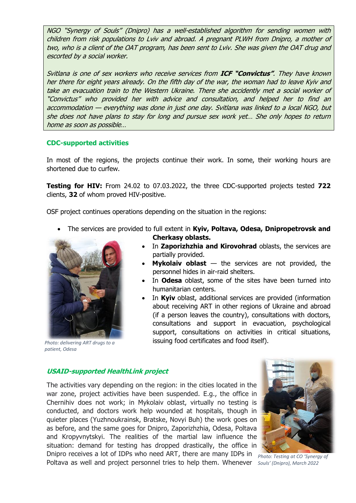NGO "Synergy of Souls" (Dnipro) has a well-established algorithm for sending women with children from risk populations to Lviv and abroad. A pregnant PLWH from Dnipro, a mother of two, who is a client of the OAT program, has been sent to Lviv. She was given the OAT drug and escorted by a social worker.

Svitlana is one of sex workers who receive services from **ICF "Convictus"**. They have known her there for eight years already. On the fifth day of the war, the woman had to leave Kyiv and take an evacuation train to the Western Ukraine. There she accidently met a social worker of "Convictus" who provided her with advice and consultation, and helped her to find an accommodation — everything was done in just one day. Svitlana was linked to a local NGO, but she does not have plans to stay for long and pursue sex work yet… She only hopes to return home as soon as possible…

#### **CDC-supported activities**

In most of the regions, the projects continue their work. In some, their working hours are shortened due to curfew.

**Testing for HIV:** From 24.02 to 07.03.2022, the three CDC-supported projects tested **722** clients, **32** of whom proved HIV-positive.

OSF project continues operations depending on the situation in the regions:

 The services are provided to full extent in **Kyiv, Poltava, Odesa, Dnipropetrovsk and Cherkasy oblasts.**



*Photo: delivering ART drugs to a patient, Odesa*

- In **Zaporizhzhia and Kirovohrad** oblasts, the services are partially provided.
- **Mykolaiv oblast** the services are not provided, the personnel hides in air-raid shelters.
- In **Odesa** oblast, some of the sites have been turned into humanitarian centers.
- In **Kyiv** oblast, additional services are provided (information about receiving ART in other regions of Ukraine and abroad (if a person leaves the country), consultations with doctors, consultations and support in evacuation, psychological support, consultations on activities in critical situations, issuing food certificates and food itself).

#### **USAID-supported HealthLink project**

The activities vary depending on the region: in the cities located in the war zone, project activities have been suspended. E.g., the office in Chernihiv does not work; in Mykolaiv oblast, virtually no testing is conducted, and doctors work help wounded at hospitals, though in quieter places (Yuzhnoukrainsk, Bratske, Novyi Buh) the work goes on as before, and the same goes for Dnipro, Zaporizhzhia, Odesa, Poltava and Kropyvnytskyi. The realities of the martial law influence the situation: demand for testing has dropped drastically, the office in Dnipro receives a lot of IDPs who need ART, there are many IDPs in



*Photo: Testing at CO 'Synergy of*  Poltava as well and project personnel tries to help them. Whenever Souls' (Dnipro), March 2022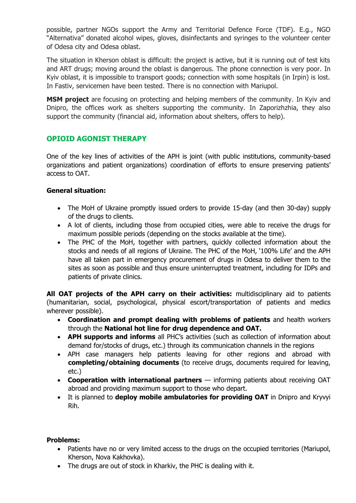possible, partner NGOs support the Army and Territorial Defence Force (TDF). E.g., NGO "Alternativa" donated alcohol wipes, gloves, disinfectants and syringes to the volunteer center of Odesa city and Odesa oblast.

The situation in Kherson oblast is difficult: the project is active, but it is running out of test kits and ART drugs; moving around the oblast is dangerous. The phone connection is very poor. In Kyiv oblast, it is impossible to transport goods; connection with some hospitals (in Irpin) is lost. In Fastiv, servicemen have been tested. There is no connection with Mariupol.

**MSM project** are focusing on protecting and helping members of the community. In Kyiv and Dnipro, the offices work as shelters supporting the community. In Zaporizhzhia, they also support the community (financial aid, information about shelters, offers to help).

## **OPIOID AGONIST THERAPY**

One of the key lines of activities of the APH is joint (with public institutions, community-based organizations and patient organizations) coordination of efforts to ensure preserving patients' access to OAT.

## **General situation:**

- The MoH of Ukraine promptly issued orders to provide 15-day (and then 30-day) supply of the drugs to clients.
- A lot of clients, including those from occupied cities, were able to receive the drugs for maximum possible periods (depending on the stocks available at the time).
- The PHC of the MoH, together with partners, quickly collected information about the stocks and needs of all regions of Ukraine. The PHC of the MoH, '100% Life' and the APH have all taken part in emergency procurement of drugs in Odesa to deliver them to the sites as soon as possible and thus ensure uninterrupted treatment, including for IDPs and patients of private clinics.

**All OAT projects of the APH carry on their activities:** multidisciplinary aid to patients (humanitarian, social, psychological, physical escort/transportation of patients and medics wherever possible).

- **Coordination and prompt dealing with problems of patients** and health workers through the **National hot line for drug dependence and OAT.**
- **APH supports and informs** all PHC's activities (such as collection of information about demand for/stocks of drugs, etc.) through its communication channels in the regions
- APH case managers help patients leaving for other regions and abroad with **completing/obtaining documents** (to receive drugs, documents required for leaving, etc.)
- **Cooperation with international partners** informing patients about receiving OAT abroad and providing maximum support to those who depart.
- It is planned to **deploy mobile ambulatories for providing OAT** in Dnipro and Kryvyi Rih.

## **Problems:**

- Patients have no or very limited access to the drugs on the occupied territories (Mariupol, Kherson, Nova Kakhovka).
- The drugs are out of stock in Kharkiv, the PHC is dealing with it.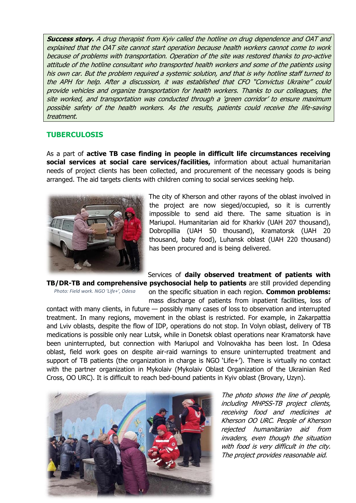**Success story.** A drug therapist from Kyiv called the hotline on drug dependence and OAT and explained that the OAT site cannot start operation because health workers cannot come to work because of problems with transportation. Operation of the site was restored thanks to pro-active attitude of the hotline consultant who transported health workers and some of the patients using his own car. But the problem required a systemic solution, and that is why hotline staff turned to the APH for help. After a discussion, it was established that CFO "Convictus Ukraine" could provide vehicles and organize transportation for health workers. Thanks to our colleagues, the site worked, and transportation was conducted through a 'green corridor' to ensure maximum possible safety of the health workers. As the results, patients could receive the life-saving treatment.

#### **TUBERCULOSIS**

As a part of **active TB case finding in people in difficult life circumstances receiving social services at social care services/facilities,** information about actual humanitarian needs of project clients has been collected, and procurement of the necessary goods is being arranged. The aid targets clients with children coming to social services seeking help.



The city of Kherson and other rayons of the oblast involved in the project are now sieged/occupied, so it is currently impossible to send aid there. The same situation is in Mariupol. Humanitarian aid for Kharkiv (UAH 207 thousand), Dobropillia (UAH 50 thousand), Kramatorsk (UAH 20 thousand, baby food), Luhansk oblast (UAH 220 thousand) has been procured and is being delivered.

Services of **daily observed treatment of patients with TB/DR-TB and comprehensive psychosocial help to patients** are still provided depending

*Photo: Field work. NGO 'Life+', Odesa*

on the specific situation in each region. **Common problems:** mass discharge of patients from inpatient facilities, loss of

contact with many clients, in future — possibly many cases of loss to observation and interrupted treatment. In many regions, movement in the oblast is restricted. For example, in Zakarpattia and Lviv oblasts, despite the flow of IDP, operations do not stop. In Volyn oblast, delivery of TB medications is possible only near Lutsk, while in Donetsk oblast operations near Kramatorsk have been uninterrupted, but connection with Mariupol and Volnovakha has been lost. In Odesa oblast, field work goes on despite air-raid warnings to ensure uninterrupted treatment and support of TB patients (the organization in charge is NGO 'Life+'). There is virtually no contact with the partner organization in Mykolaiv (Mykolaiv Oblast Organization of the Ukrainian Red Cross, OO URC). It is difficult to reach bed-bound patients in Kyiv oblast (Brovary, Uzyn).



The photo shows the line of people, including MHPSS-TB project clients, receiving food and medicines at Kherson OO URC. People of Kherson rejected humanitarian aid from invaders, even though the situation with food is very difficult in the city. The project provides reasonable aid.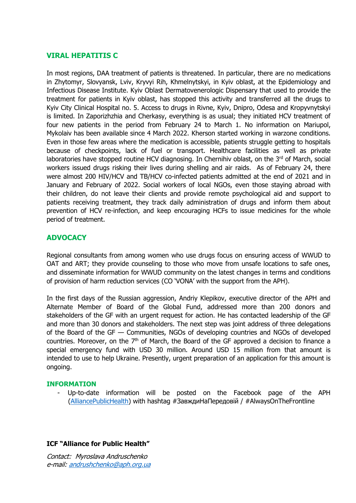## **VIRAL HEPATITIS C**

In most regions, DAA treatment of patients is threatened. In particular, there are no medications in Zhytomyr, Slovyansk, Lviv, Kryvyi Rih, Khmelnytskyi, in Kyiv oblast, at the Epidemiology and Infectious Disease Institute. Kyiv Oblast Dermatovenerologic Dispensary that used to provide the treatment for patients in Kyiv oblast, has stopped this activity and transferred all the drugs to Kyiv City Clinical Hospital no. 5. Access to drugs in Rivne, Kyiv, Dnipro, Odesa and Kropyvnytskyi is limited. In Zaporizhzhia and Cherkasy, everything is as usual; they initiated HCV treatment of four new patients in the period from February 24 to March 1. No information on Mariupol, Mykolaiv has been available since 4 March 2022. Kherson started working in warzone conditions. Even in those few areas where the medication is accessible, patients struggle getting to hospitals because of checkpoints, lack of fuel or transport. Healthcare facilities as well as private laboratories have stopped routine HCV diagnosing. In Chernihiv oblast, on the  $3<sup>rd</sup>$  of March, social workers issued drugs risking their lives during shelling and air raids. As of February 24, there were almost 200 HIV/HCV and TB/HCV co-infected patients admitted at the end of 2021 and in January and February of 2022. Social workers of local NGOs, even those staying abroad with their children, do not leave their clients and provide remote psychological aid and support to patients receiving treatment, they track daily administration of drugs and inform them about prevention of HCV re-infection, and keep encouraging HCFs to issue medicines for the whole period of treatment.

## **ADVOCACY**

Regional consultants from among women who use drugs focus on ensuring access of WWUD to OAT and ART; they provide counseling to those who move from unsafe locations to safe ones, and disseminate information for WWUD community on the latest changes in terms and conditions of provision of harm reduction services (CO 'VONA' with the support from the APH).

In the first days of the Russian aggression, Andriy Klepikov, executive director of the APH and Alternate Member of Board of the Global Fund, addressed more than 200 donors and stakeholders of the GF with an urgent request for action. He has contacted leadership of the GF and more than 30 donors and stakeholders. The next step was joint address of three delegations of the Board of the GF — Communities, NGOs of developing countries and NGOs of developed countries. Moreover, on the  $7<sup>th</sup>$  of March, the Board of the GF approved a decision to finance a special emergency fund with USD 30 million. Around USD 15 million from that amount is intended to use to help Ukraine. Presently, urgent preparation of an application for this amount is ongoing.

#### **INFORMATION**

Up-to-date information will be posted on the Facebook page of the APH [\(AlliancePublicHealth](https://www.facebook.com/AlliancePublicHealth)) with hashtag #ЗавждиНаПередовій / #AlwaysOnTheFrontline

## **ICF "Alliance for Public Health"**

Contact: Myroslava Andruschenko <sup>е</sup>-mail: [andrushchenko@aph.org.ua](mailto:andrushchenko@aph.org.ua)